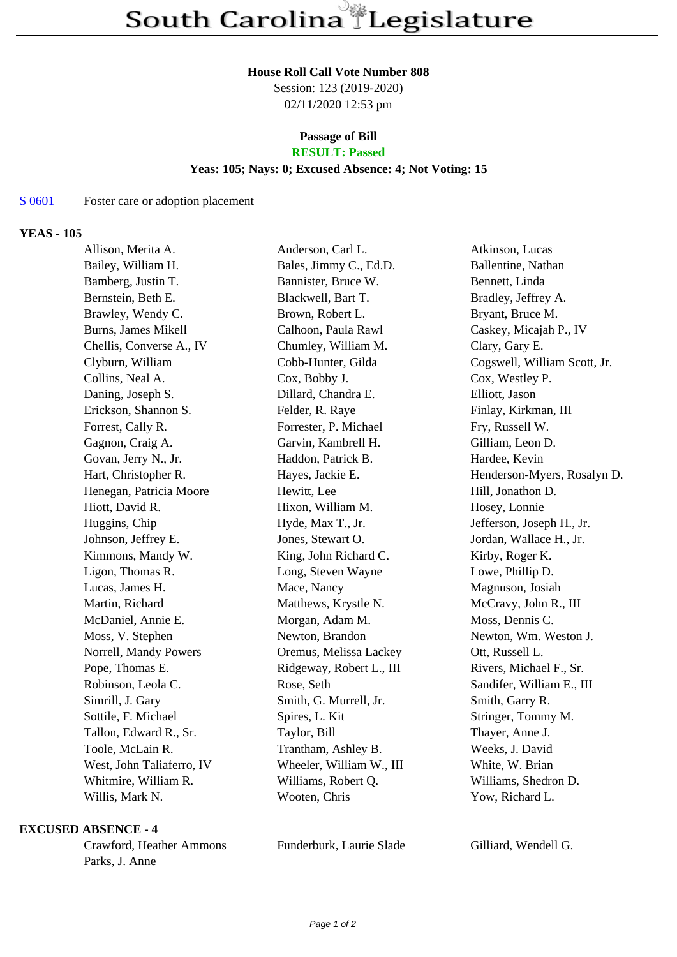#### **House Roll Call Vote Number 808**

Session: 123 (2019-2020) 02/11/2020 12:53 pm

# **Passage of Bill**

## **RESULT: Passed**

#### **Yeas: 105; Nays: 0; Excused Absence: 4; Not Voting: 15**

#### S 0601 Foster care or adoption placement

#### **YEAS - 105**

| Allison, Merita A.         | Anderson, Carl L.        | Atkinson, Lucas              |
|----------------------------|--------------------------|------------------------------|
| Bailey, William H.         | Bales, Jimmy C., Ed.D.   | Ballentine, Nathan           |
| Bamberg, Justin T.         | Bannister, Bruce W.      | Bennett, Linda               |
| Bernstein, Beth E.         | Blackwell, Bart T.       | Bradley, Jeffrey A.          |
| Brawley, Wendy C.          | Brown, Robert L.         | Bryant, Bruce M.             |
| <b>Burns, James Mikell</b> | Calhoon, Paula Rawl      | Caskey, Micajah P., IV       |
| Chellis, Converse A., IV   | Chumley, William M.      | Clary, Gary E.               |
| Clyburn, William           | Cobb-Hunter, Gilda       | Cogswell, William Scott, Jr. |
| Collins, Neal A.           | Cox, Bobby J.            | Cox, Westley P.              |
| Daning, Joseph S.          | Dillard, Chandra E.      | Elliott, Jason               |
| Erickson, Shannon S.       | Felder, R. Raye          | Finlay, Kirkman, III         |
| Forrest, Cally R.          | Forrester, P. Michael    | Fry, Russell W.              |
| Gagnon, Craig A.           | Garvin, Kambrell H.      | Gilliam, Leon D.             |
| Govan, Jerry N., Jr.       | Haddon, Patrick B.       | Hardee, Kevin                |
| Hart, Christopher R.       | Hayes, Jackie E.         | Henderson-Myers, Rosalyn D.  |
| Henegan, Patricia Moore    | Hewitt, Lee              | Hill, Jonathon D.            |
| Hiott, David R.            | Hixon, William M.        | Hosey, Lonnie                |
| Huggins, Chip              | Hyde, Max T., Jr.        | Jefferson, Joseph H., Jr.    |
| Johnson, Jeffrey E.        | Jones, Stewart O.        | Jordan, Wallace H., Jr.      |
| Kimmons, Mandy W.          | King, John Richard C.    | Kirby, Roger K.              |
| Ligon, Thomas R.           | Long, Steven Wayne       | Lowe, Phillip D.             |
| Lucas, James H.            | Mace, Nancy              | Magnuson, Josiah             |
| Martin, Richard            | Matthews, Krystle N.     | McCravy, John R., III        |
| McDaniel, Annie E.         | Morgan, Adam M.          | Moss, Dennis C.              |
| Moss, V. Stephen           | Newton, Brandon          | Newton, Wm. Weston J.        |
| Norrell, Mandy Powers      | Oremus, Melissa Lackey   | Ott, Russell L.              |
| Pope, Thomas E.            | Ridgeway, Robert L., III | Rivers, Michael F., Sr.      |
| Robinson, Leola C.         | Rose, Seth               | Sandifer, William E., III    |
| Simrill, J. Gary           | Smith, G. Murrell, Jr.   | Smith, Garry R.              |
| Sottile, F. Michael        | Spires, L. Kit           | Stringer, Tommy M.           |
| Tallon, Edward R., Sr.     | Taylor, Bill             | Thayer, Anne J.              |
| Toole, McLain R.           | Trantham, Ashley B.      | Weeks, J. David              |
| West, John Taliaferro, IV  | Wheeler, William W., III | White, W. Brian              |
| Whitmire, William R.       | Williams, Robert Q.      | Williams, Shedron D.         |
| Willis, Mark N.            | Wooten, Chris            | Yow, Richard L.              |
|                            |                          |                              |

#### **EXCUSED ABSENCE - 4**

Crawford, Heather Ammons Funderburk, Laurie Slade Gilliard, Wendell G. Parks, J. Anne